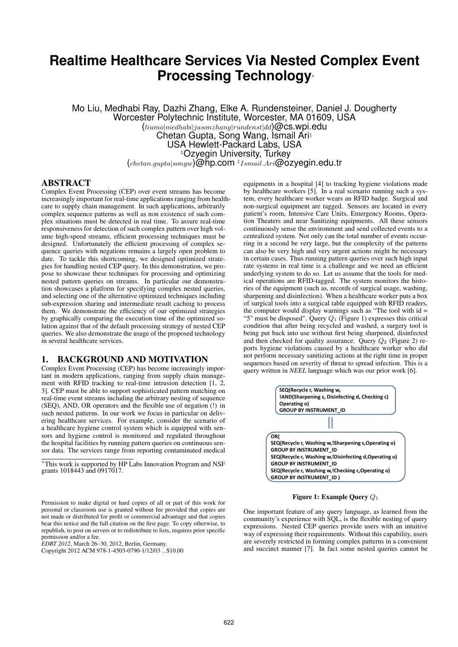# **Realtime Healthcare Services Via Nested Complex Event Processing Technology***<sup>∗</sup>*

Mo Liu, Medhabi Ray, Dazhi Zhang, Elke A. Rundensteiner, Daniel J. Dougherty Worcester Polytechnic Institute, Worcester, MA 01609, USA (*liumo|medhabi|jasonzhang|rundenst|dd*)@cs.wpi.edu Chetan Gupta, Song Wang, Ismail Ari*‡* USA Hewlett-Packard Labs, USA *‡*Ozyegin University, Turkey (*chetan.gupta|songw*)@hp.com *‡ Ismail.Ari*@ozyegin.edu.tr

# ABSTRACT

Complex Event Processing (CEP) over event streams has become increasingly important for real-time applications ranging from healthcare to supply chain management. In such applications, arbitrarily complex sequence patterns as well as non existence of such complex situations must be detected in real time. To assure real-time responsiveness for detection of such complex pattern over high volume high-speed streams, efficient processing techniques must be designed. Unfortunately the efficient processing of complex sequence queries with negations remains a largely open problem to date. To tackle this shortcoming, we designed optimized strategies for handling nested CEP query. In this demonstration, we propose to showcase these techniques for processing and optimizing nested pattern queries on streams. In particular our demonstration showcases a platform for specifying complex nested queries, and selecting one of the alternative optimized techniques including sub-expression sharing and intermediate result caching to process them. We demonstrate the efficiency of our optimized strategies by graphically comparing the execution time of the optimized solution against that of the default processing strategy of nested CEP queries. We also demonstrate the usage of the proposed technology in several healthcare services.

#### 1. BACKGROUND AND MOTIVATION

Complex Event Processing (CEP) has become increasingly important in modern applications, ranging from supply chain management with RFID tracking to real-time intrusion detection [1, 2, 3]. CEP must be able to support sophisticated pattern matching on real-time event streams including the arbitrary nesting of sequence (SEQ), AND, OR operators and the flexible use of negation (!) in such nested patterns. In our work we focus in particular on delivering healthcare services. For example, consider the scenario of a healthcare hygiene control system which is equipped with sensors and hygiene control is monitored and regulated throughout the hospital facilities by running pattern queries on continuous sensor data. The services range from reporting contaminated medical

*<sup>∗</sup>*This work is supported by HP Labs Innovation Program and NSF grants 1018443 and 0917017.

Permission to make digital or hard copies of all or part of this work for personal or classroom use is granted without fee provided that copies are not made or distributed for profit or commercial advantage and that copies bear this notice and the full citation on the first page. To copy otherwise, to republish, to post on servers or to redistribute to lists, requires prior specific permission and/or a fee.

*EDBT 2012*, March 26–30, 2012, Berlin, Germany.

Copyright 2012 ACM 978-1-4503-0790-1/12/03 ...\$10.00

equipments in a hospital [4] to tracking hygiene violations made by healthcare workers [5]. In a real scenario running such a system, every healthcare worker wears an RFID badge. Surgical and non-surgical equipment are tagged. Sensors are located in every patient's room, Intensive Care Units, Emergency Rooms, Operation Theaters and near Sanitizing equipments. All these sensors continuously sense the environment and send collected events to a centralized system. Not only can the total number of events occurring in a second be very large, but the complexity of the patterns can also be very high and very urgent actions might be necessary in certain cases. Thus running pattern queries over such high input rate systems in real time is a challenge and we need an efficient underlying system to do so. Let us assume that the tools for medical operations are RFID-tagged. The system monitors the histories of the equipment (such as, records of surgical usage, washing, sharpening and disinfection). When a healthcare worker puts a box of surgical tools into a surgical table equipped with RFID readers, the computer would display warnings such as "The tool with  $id =$ "5" must be disposed". Query *Q*<sup>1</sup> (Figure 1) expresses this critical condition that after being recycled and washed, a surgery tool is being put back into use without first being sharpened, disinfected and then checked for quality assurance. Query *Q*<sup>2</sup> (Figure 2) reports hygiene violations caused by a healthcare worker who did not perform necessary sanitizing actions at the right time in proper sequences based on severity of threat to spread infection. This is a query written in *NEEL* language which was our prior work [6].



Figure 1: Example Query *Q*<sup>1</sup>

One important feature of any query language, as learned from the community's experience with SQL, is the flexible nesting of query expressions. Nested CEP queries provide users with an intuitive way of expressing their requirements. Without this capability, users are severely restricted in forming complex patterns in a convenient and succinct manner [7]. In fact some nested queries cannot be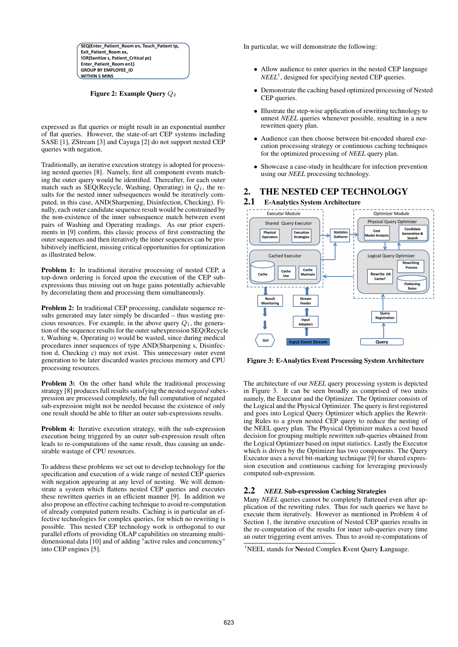SEQ(Enter\_Patient\_Room en, Touch\_Patient tp, Exit\_Patient\_Room ex, !OR(Sanitize s, Patient\_Critical pc) Enter\_Patient\_Room en1) GROUP BY EMPLOYEE\_ID WITHIN 5 MINS

Figure 2: Example Query *Q*<sup>2</sup>

expressed as flat queries or might result in an exponential number of flat queries. However, the state-of-art CEP systems including SASE [1], ZStream [3] and Cayuga [2] do not support nested CEP queries with negation.

Traditionally, an iterative execution strategy is adopted for processing nested queries [8]. Namely, first all component events matching the outer query would be identified. Thereafter, for each outer match such as SEQ(Recycle, Washing, Operating) in *Q*1, the results for the nested inner subsequences would be iteratively computed, in this case, AND(Sharpening, Disinfection, Checking). Finally, each outer candidate sequence result would be constrained by the non-existence of the inner subsequence match between event pairs of Washing and Operating readings. As our prior experiments in [9] confirm, this classic process of first constructing the outer sequences and then iteratively the inner sequences can be prohibitively inefficient, missing critical opportunities for optimization as illustrated below.

Problem 1: In traditional iterative processing of nested CEP, a top-down ordering is forced upon the execution of the CEP subexpressions thus missing out on huge gains potentially achievable by decorrelating them and processing them simultaneously.

Problem 2: In traditional CEP processing, candidate sequence results generated may later simply be discarded – thus wasting precious resources. For example, in the above query *Q*1, the generation of the sequence results for the outer subexpression SEQ(Recycle r, Washing w, Operating o) would be wasted, since during medical procedures inner sequences of type AND(Sharpening s, Disinfection d, Checking c) may not exist. This unnecessary outer event generation to be later discarded wastes precious memory and CPU processing resources.

**Problem 3:** On the other hand while the traditional processing strategy [8] produces full results satisfying the nested *negated* subexpression are processed completely, the full computation of negated sub-expression might not be needed because the existence of only one result should be able to filter an outer sub-expressions results.

Problem 4: Iterative execution strategy, with the sub-expression execution being triggered by an outer sub-expression result often leads to re-computations of the same result, thus causing an undesirable wastage of CPU resources.

To address these problems we set out to develop technology for the specification and execution of a wide range of nested CEP queries with negation appearing at any level of nesting. We will demonstrate a system which flattens nested CEP queries and executes these rewritten queries in an efficient manner [9]. In addition we also propose an effective caching technique to avoid re-computation of already computed pattern results. Caching is in particular an effective technologies for complex queries, for which no rewriting is possible. This nested CEP technology work is orthogonal to our parallel efforts of providing OLAP capabilities on streaming multidimensional data [10] and of adding "active rules and concurrency" into CEP engines [5].

In particular, we will demonstrate the following:

- Allow audience to enter queries in the nested CEP language  $NEEL<sup>1</sup>$ , designed for specifying nested CEP queries.
- *•* Demonstrate the caching based optimized processing of Nested CEP queries.
- Illustrate the step-wise application of rewriting technology to unnest *NEEL* queries whenever possible, resulting in a new rewritten query plan.
- *•* Audience can then choose between bit-encoded shared execution processing strategy or continuous caching techniques for the optimized processing of *NEEL* query plan.
- Showcase a case-study in healthcare for infection prevention using our *NEEL* processing technology.

# 2. THE NESTED CEP TECHNOLOGY

2.1 E-Analytics System Architecture



Figure 3: E-Analytics Event Processing System Architecture

The architecture of our *NEEL* query processing system is depicted in Figure 3. It can be seen broadly as comprised of two units namely, the Executor and the Optimizer. The Optimizer consists of the Logical and the Physical Optimizer. The query is first registered and goes into Logical Query Optimizer which applies the Rewriting Rules to a given nested CEP query to reduce the nesting of the NEEL query plan. The Physical Optimizer makes a cost based decision for grouping multiple rewritten sub-queries obtained from the Logical Optimizer based on input statistics. Lastly the Executor which is driven by the Optimizer has two components. The Ouery Executor uses a novel bit-marking technique [9] for shared expression execution and continuous caching for leveraging previously computed sub-expression.

#### 2.2 *NEEL* Sub-expression Caching Strategies

Many *NEEL* queries cannot be completely flattened even after application of the rewriting rules. Thus for such queries we have to execute them iteratively. However as mentioned in Problem 4 of Section 1, the iterative execution of Nested CEP queries results in the re-computation of the results for inner sub-queries every time an outer triggering event arrives. Thus to avoid re-computations of

<sup>&</sup>lt;sup>1</sup>NEEL stands for Nested Complex Event Query Language.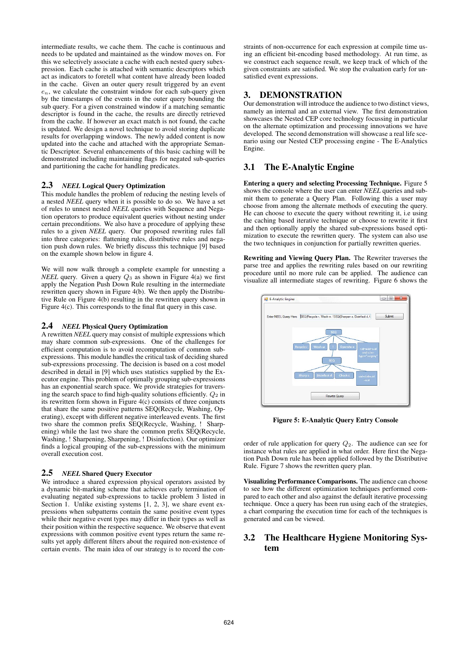intermediate results, we cache them. The cache is continuous and needs to be updated and maintained as the window moves on. For this we selectively associate a cache with each nested query subexpression. Each cache is attached with semantic descriptors which act as indicators to foretell what content have already been loaded in the cache. Given an outer query result triggered by an event *en*, we calculate the constraint window for each sub-query given by the timestamps of the events in the outer query bounding the sub query. For a given constrained window if a matching semantic descriptor is found in the cache, the results are directly retrieved from the cache. If however an exact match is not found, the cache is updated. We design a novel technique to avoid storing duplicate results for overlapping windows. The newly added content is now updated into the cache and attached with the appropriate Semantic Descriptor. Several enhancements of this basic caching will be demonstrated including maintaining flags for negated sub-queries and partitioning the cache for handling predicates.

#### 2.3 *NEEL* Logical Query Optimization

This module handles the problem of reducing the nesting levels of a nested *NEEL* query when it is possible to do so. We have a set of rules to unnest nested *NEEL* queries with Sequence and Negation operators to produce equivalent queries without nesting under certain preconditions. We also have a procedure of applying these rules to a given *NEEL* query. Our proposed rewriting rules fall into three categories: flattening rules, distributive rules and negation push down rules. We briefly discuss this technique [9] based on the example shown below in figure 4.

We will now walk through a complete example for unnesting a *NEEL* query. Given a query *Q*<sup>3</sup> as shown in Figure 4(a) we first apply the Negation Push Down Rule resulting in the intermediate rewritten query shown in Figure 4(b). We then apply the Distributive Rule on Figure 4(b) resulting in the rewritten query shown in Figure 4(c). This corresponds to the final flat query in this case.

#### 2.4 *NEEL* Physical Query Optimization

A rewritten *NEEL* query may consist of multiple expressions which may share common sub-expressions. One of the challenges for efficient computation is to avoid recomputation of common subexpressions. This module handles the critical task of deciding shared sub-expressions processing. The decision is based on a cost model described in detail in [9] which uses statistics supplied by the Executor engine. This problem of optimally grouping sub-expressions has an exponential search space. We provide strategies for traversing the search space to find high-quality solutions efficiently.  $Q_2$  in its rewritten form shown in Figure 4(c) consists of three conjuncts that share the same positive patterns SEQ(Recycle, Washing, Operating), except with different negative interleaved events. The first two share the common prefix SEQ(Recycle, Washing, ! Sharpening) while the last two share the common prefix SEQ(Recycle, Washing, ! Sharpening, Sharpening, ! Disinfection). Our optimizer finds a logical grouping of the sub-expressions with the minimum overall execution cost.

## 2.5 *NEEL* Shared Query Executor

We introduce a shared expression physical operators assisted by a dynamic bit-marking scheme that achieves early termination of evaluating negated sub-expressions to tackle problem 3 listed in Section 1. Unlike existing systems [1, 2, 3], we share event expressions when subpatterns contain the same positive event types while their negative event types may differ in their types as well as their position within the respective sequence. We observe that event expressions with common positive event types return the same results yet apply different filters about the required non-existence of certain events. The main idea of our strategy is to record the con-

straints of non-occurrence for each expression at compile time using an efficient bit-encoding based methodology. At run time, as we construct each sequence result, we keep track of which of the given constraints are satisfied. We stop the evaluation early for unsatisfied event expressions.

## 3. DEMONSTRATION

Our demonstration will introduce the audience to two distinct views, namely an internal and an external view. The first demonstration showcases the Nested CEP core technology focussing in particular on the alternate optimization and processing innovations we have developed. The second demonstration will showcase a real life scenario using our Nested CEP processing engine - The E-Analytics Engine.

### 3.1 The E-Analytic Engine

Entering a query and selecting Processing Technique. Figure 5 shows the console where the user can enter *NEEL* queries and submit them to generate a Query Plan. Following this a user may choose from among the alternate methods of executing the query. He can choose to execute the query without rewriting it, i.e using the caching based iterative technique or choose to rewrite it first and then optionally apply the shared sub-expressions based optimization to execute the rewritten query. The system can also use the two techniques in conjunction for partially rewritten queries.

Rewriting and Viewing Query Plan. The Rewriter traverses the parse tree and applies the rewriting rules based on our rewriting procedure until no more rule can be applied. The audience can visualize all intermediate stages of rewriting. Figure 6 shows the



Figure 5: E-Analytic Query Entry Console

order of rule application for query *Q*2. The audience can see for instance what rules are applied in what order. Here first the Negation Push Down rule has been applied followed by the Distributive Rule. Figure 7 shows the rewritten query plan.

Visualizing Performance Comparisons. The audience can choose to see how the different optimization techniques performed compared to each other and also against the default iterative processing technique. Once a query has been run using each of the strategies, a chart comparing the execution time for each of the techniques is generated and can be viewed.

# 3.2 The Healthcare Hygiene Monitoring System